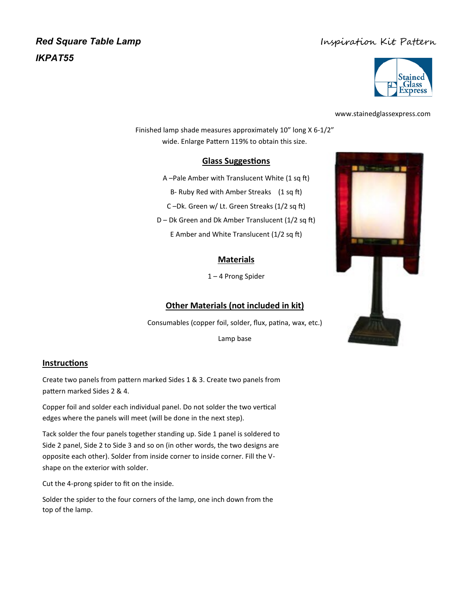# *Red Square Table Lamp IKPAT55*

# Inspiration Kit Pattern



www.stainedglassexpress.com

Finished lamp shade measures approximately 10" long X 6-1/2" wide. Enlarge Pattern 119% to obtain this size.

#### **Glass Suggestions**

A –Pale Amber with Translucent White (1 sq ft) B- Ruby Red with Amber Streaks (1 sq ft) C –Dk. Green w/ Lt. Green Streaks (1/2 sq ft) D – Dk Green and Dk Amber Translucent (1/2 sq ft) E Amber and White Translucent (1/2 sq ft)

### **Materials**

1 – 4 Prong Spider

## **Other Materials (not included in kit)**

Consumables (copper foil, solder, flux, patina, wax, etc.)

Lamp base

#### **Instructions**

Create two panels from pattern marked Sides 1 & 3. Create two panels from pattern marked Sides 2 & 4.

Copper foil and solder each individual panel. Do not solder the two vertical edges where the panels will meet (will be done in the next step).

Tack solder the four panels together standing up. Side 1 panel is soldered to Side 2 panel, Side 2 to Side 3 and so on (in other words, the two designs are opposite each other). Solder from inside corner to inside corner. Fill the Vshape on the exterior with solder.

Cut the 4-prong spider to fit on the inside.

Solder the spider to the four corners of the lamp, one inch down from the top of the lamp.

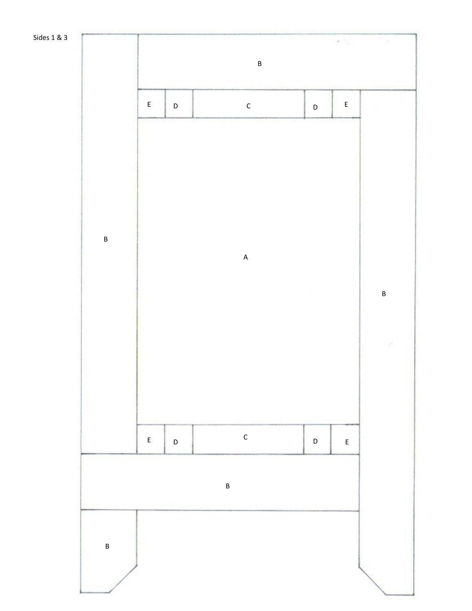